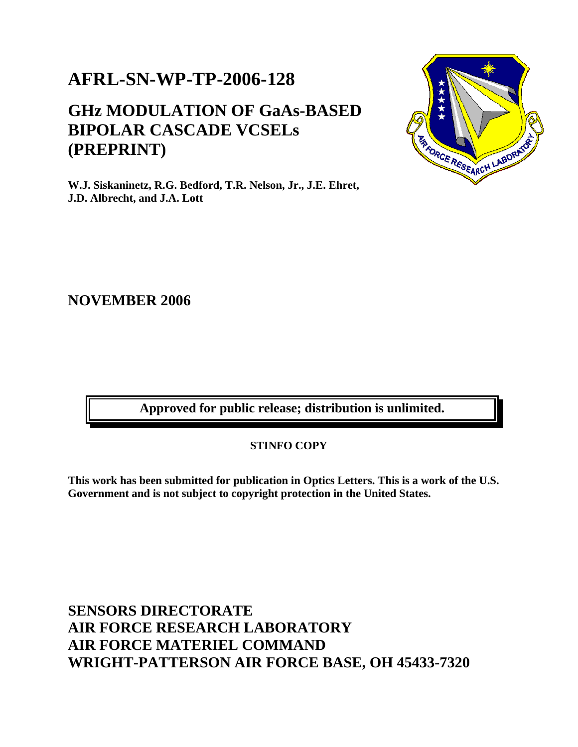## **AFRL-SN-WP-TP-2006-128**

## **GHz MODULATION OF GaAs-BASED BIPOLAR CASCADE VCSELs (PREPRINT)**



**W.J. Siskaninetz, R.G. Bedford, T.R. Nelson, Jr., J.E. Ehret, J.D. Albrecht, and J.A. Lott** 

### **NOVEMBER 2006**

**Approved for public release; distribution is unlimited.** 

**STINFO COPY** 

**This work has been submitted for publication in Optics Letters. This is a work of the U.S. Government and is not subject to copyright protection in the United States.** 

## **SENSORS DIRECTORATE AIR FORCE RESEARCH LABORATORY AIR FORCE MATERIEL COMMAND WRIGHT-PATTERSON AIR FORCE BASE, OH 45433-7320**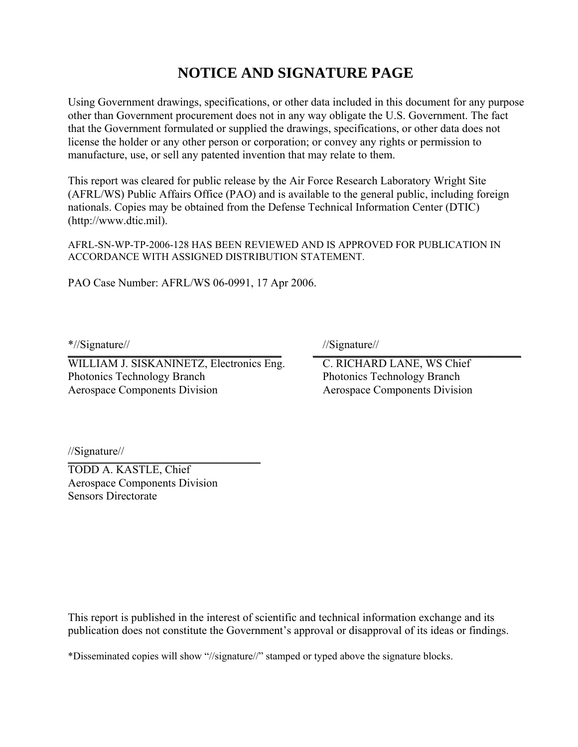## **NOTICE AND SIGNATURE PAGE**

Using Government drawings, specifications, or other data included in this document for any purpose other than Government procurement does not in any way obligate the U.S. Government. The fact that the Government formulated or supplied the drawings, specifications, or other data does not license the holder or any other person or corporation; or convey any rights or permission to manufacture, use, or sell any patented invention that may relate to them.

This report was cleared for public release by the Air Force Research Laboratory Wright Site (AFRL/WS) Public Affairs Office (PAO) and is available to the general public, including foreign nationals. Copies may be obtained from the Defense Technical Information Center (DTIC) (http://www.dtic.mil).

AFRL-SN-WP-TP-2006-128 HAS BEEN REVIEWED AND IS APPROVED FOR PUBLICATION IN ACCORDANCE WITH ASSIGNED DISTRIBUTION STATEMENT.

PAO Case Number: AFRL/WS 06-0991, 17 Apr 2006.

\*//Signature// //Signature//  $\blacksquare$ 

WILLIAM J. SISKANINETZ, Electronics Eng. C. RICHARD LANE, WS Chief Photonics Technology Branch Photonics Technology Branch Photonics Technology Branch Aerospace Components Division Aerospace Components Division

//Signature//  $\sum_{i=1}^{n}$ 

TODD A. KASTLE, Chief Aerospace Components Division Sensors Directorate

This report is published in the interest of scientific and technical information exchange and its publication does not constitute the Government's approval or disapproval of its ideas or findings.

\*Disseminated copies will show "//signature//" stamped or typed above the signature blocks.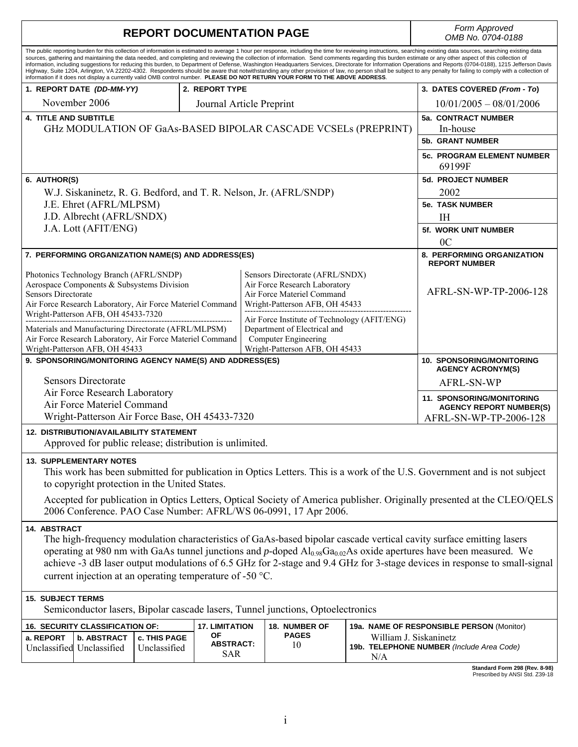| <b>REPORT DOCUMENTATION PAGE</b>                                                                                                                                                                                                                                                                                                                                                                                                                                                                                                                                                                                                                                                                                                                                                                                                                                                                                                                                                                    |                                                                                                                                                    |  |                                                                                                                                  |                                                                                                                         | Form Approved<br>OMB No. 0704-0188                                                    |
|-----------------------------------------------------------------------------------------------------------------------------------------------------------------------------------------------------------------------------------------------------------------------------------------------------------------------------------------------------------------------------------------------------------------------------------------------------------------------------------------------------------------------------------------------------------------------------------------------------------------------------------------------------------------------------------------------------------------------------------------------------------------------------------------------------------------------------------------------------------------------------------------------------------------------------------------------------------------------------------------------------|----------------------------------------------------------------------------------------------------------------------------------------------------|--|----------------------------------------------------------------------------------------------------------------------------------|-------------------------------------------------------------------------------------------------------------------------|---------------------------------------------------------------------------------------|
| The public reporting burden for this collection of information is estimated to average 1 hour per response, including the time for reviewing instructions, searching existing data sources, searching existing data<br>sources, gathering and maintaining the data needed, and completing and reviewing the collection of information. Send comments regarding this burden estimate or any other aspect of this collection of<br>information, including suggestions for reducing this burden, to Department of Defense, Washington Headquarters Services, Directorate for Information Operations and Reports (0704-0188), 1215 Jefferson Davis<br>Highway, Suite 1204, Arlington, VA 22202-4302. Respondents should be aware that notwithstanding any other provision of law, no person shall be subject to any penalty for failing to comply with a collection of<br>information if it does not display a currently valid OMB control number. PLEASE DO NOT RETURN YOUR FORM TO THE ABOVE ADDRESS. |                                                                                                                                                    |  |                                                                                                                                  |                                                                                                                         |                                                                                       |
| 1. REPORT DATE (DD-MM-YY)                                                                                                                                                                                                                                                                                                                                                                                                                                                                                                                                                                                                                                                                                                                                                                                                                                                                                                                                                                           | 2. REPORT TYPE                                                                                                                                     |  |                                                                                                                                  | 3. DATES COVERED (From - To)                                                                                            |                                                                                       |
| November 2006<br>Journal Article Preprint                                                                                                                                                                                                                                                                                                                                                                                                                                                                                                                                                                                                                                                                                                                                                                                                                                                                                                                                                           |                                                                                                                                                    |  |                                                                                                                                  | $10/01/2005 - 08/01/2006$                                                                                               |                                                                                       |
| <b>4. TITLE AND SUBTITLE</b><br>GHz MODULATION OF GaAs-BASED BIPOLAR CASCADE VCSELs (PREPRINT)                                                                                                                                                                                                                                                                                                                                                                                                                                                                                                                                                                                                                                                                                                                                                                                                                                                                                                      |                                                                                                                                                    |  |                                                                                                                                  | 5a. CONTRACT NUMBER<br>In-house                                                                                         |                                                                                       |
|                                                                                                                                                                                                                                                                                                                                                                                                                                                                                                                                                                                                                                                                                                                                                                                                                                                                                                                                                                                                     |                                                                                                                                                    |  |                                                                                                                                  |                                                                                                                         | <b>5b. GRANT NUMBER</b>                                                               |
|                                                                                                                                                                                                                                                                                                                                                                                                                                                                                                                                                                                                                                                                                                                                                                                                                                                                                                                                                                                                     |                                                                                                                                                    |  |                                                                                                                                  | <b>5c. PROGRAM ELEMENT NUMBER</b><br>69199F                                                                             |                                                                                       |
| 6. AUTHOR(S)                                                                                                                                                                                                                                                                                                                                                                                                                                                                                                                                                                                                                                                                                                                                                                                                                                                                                                                                                                                        |                                                                                                                                                    |  |                                                                                                                                  | <b>5d. PROJECT NUMBER</b>                                                                                               |                                                                                       |
| W.J. Siskaninetz, R. G. Bedford, and T. R. Nelson, Jr. (AFRL/SNDP)                                                                                                                                                                                                                                                                                                                                                                                                                                                                                                                                                                                                                                                                                                                                                                                                                                                                                                                                  |                                                                                                                                                    |  |                                                                                                                                  |                                                                                                                         | 2002                                                                                  |
| J.E. Ehret (AFRL/MLPSM)                                                                                                                                                                                                                                                                                                                                                                                                                                                                                                                                                                                                                                                                                                                                                                                                                                                                                                                                                                             |                                                                                                                                                    |  |                                                                                                                                  |                                                                                                                         | 5e. TASK NUMBER                                                                       |
| J.D. Albrecht (AFRL/SNDX)                                                                                                                                                                                                                                                                                                                                                                                                                                                                                                                                                                                                                                                                                                                                                                                                                                                                                                                                                                           |                                                                                                                                                    |  |                                                                                                                                  |                                                                                                                         | <b>IH</b>                                                                             |
| J.A. Lott (AFIT/ENG)                                                                                                                                                                                                                                                                                                                                                                                                                                                                                                                                                                                                                                                                                                                                                                                                                                                                                                                                                                                |                                                                                                                                                    |  |                                                                                                                                  |                                                                                                                         | <b>5f. WORK UNIT NUMBER</b>                                                           |
|                                                                                                                                                                                                                                                                                                                                                                                                                                                                                                                                                                                                                                                                                                                                                                                                                                                                                                                                                                                                     |                                                                                                                                                    |  |                                                                                                                                  |                                                                                                                         | 0 <sup>C</sup>                                                                        |
| 7. PERFORMING ORGANIZATION NAME(S) AND ADDRESS(ES)                                                                                                                                                                                                                                                                                                                                                                                                                                                                                                                                                                                                                                                                                                                                                                                                                                                                                                                                                  |                                                                                                                                                    |  |                                                                                                                                  | 8. PERFORMING ORGANIZATION<br><b>REPORT NUMBER</b>                                                                      |                                                                                       |
| <b>Sensors Directorate</b>                                                                                                                                                                                                                                                                                                                                                                                                                                                                                                                                                                                                                                                                                                                                                                                                                                                                                                                                                                          | Photonics Technology Branch (AFRL/SNDP)<br>Aerospace Components & Subsystems Division<br>Air Force Research Laboratory, Air Force Materiel Command |  | Sensors Directorate (AFRL/SNDX)<br>Air Force Research Laboratory<br>Air Force Materiel Command<br>Wright-Patterson AFB, OH 45433 |                                                                                                                         | AFRL-SN-WP-TP-2006-128                                                                |
| Wright-Patterson AFB, OH 45433-7320<br>Air Force Institute of Technology (AFIT/ENG)<br>Department of Electrical and<br>Materials and Manufacturing Directorate (AFRL/MLPSM)<br>Air Force Research Laboratory, Air Force Materiel Command<br>Computer Engineering<br>Wright-Patterson AFB, OH 45433<br>Wright-Patterson AFB, OH 45433                                                                                                                                                                                                                                                                                                                                                                                                                                                                                                                                                                                                                                                                |                                                                                                                                                    |  |                                                                                                                                  |                                                                                                                         |                                                                                       |
| 9. SPONSORING/MONITORING AGENCY NAME(S) AND ADDRESS(ES)                                                                                                                                                                                                                                                                                                                                                                                                                                                                                                                                                                                                                                                                                                                                                                                                                                                                                                                                             |                                                                                                                                                    |  |                                                                                                                                  | <b>10. SPONSORING/MONITORING</b><br><b>AGENCY ACRONYM(S)</b>                                                            |                                                                                       |
| <b>Sensors Directorate</b>                                                                                                                                                                                                                                                                                                                                                                                                                                                                                                                                                                                                                                                                                                                                                                                                                                                                                                                                                                          |                                                                                                                                                    |  |                                                                                                                                  |                                                                                                                         | AFRL-SN-WP                                                                            |
| Air Force Research Laboratory<br>Air Force Materiel Command<br>Wright-Patterson Air Force Base, OH 45433-7320                                                                                                                                                                                                                                                                                                                                                                                                                                                                                                                                                                                                                                                                                                                                                                                                                                                                                       |                                                                                                                                                    |  |                                                                                                                                  |                                                                                                                         | 11. SPONSORING/MONITORING<br><b>AGENCY REPORT NUMBER(S)</b><br>AFRL-SN-WP-TP-2006-128 |
| <b>12. DISTRIBUTION/AVAILABILITY STATEMENT</b><br>Approved for public release; distribution is unlimited.                                                                                                                                                                                                                                                                                                                                                                                                                                                                                                                                                                                                                                                                                                                                                                                                                                                                                           |                                                                                                                                                    |  |                                                                                                                                  |                                                                                                                         |                                                                                       |
| <b>13. SUPPLEMENTARY NOTES</b><br>This work has been submitted for publication in Optics Letters. This is a work of the U.S. Government and is not subject<br>to copyright protection in the United States.<br>Accepted for publication in Optics Letters, Optical Society of America publisher. Originally presented at the CLEO/QELS<br>2006 Conference. PAO Case Number: AFRL/WS 06-0991, 17 Apr 2006.                                                                                                                                                                                                                                                                                                                                                                                                                                                                                                                                                                                           |                                                                                                                                                    |  |                                                                                                                                  |                                                                                                                         |                                                                                       |
| 14. ABSTRACT<br>The high-frequency modulation characteristics of GaAs-based bipolar cascade vertical cavity surface emitting lasers<br>operating at 980 nm with GaAs tunnel junctions and $p$ -doped $Al_{0.98}Ga_{0.02}As$ oxide apertures have been measured. We<br>achieve -3 dB laser output modulations of 6.5 GHz for 2-stage and 9.4 GHz for 3-stage devices in response to small-signal<br>current injection at an operating temperature of -50 $^{\circ}$ C.                                                                                                                                                                                                                                                                                                                                                                                                                                                                                                                               |                                                                                                                                                    |  |                                                                                                                                  |                                                                                                                         |                                                                                       |
| <b>15. SUBJECT TERMS</b><br>Semiconductor lasers, Bipolar cascade lasers, Tunnel junctions, Optoelectronics                                                                                                                                                                                                                                                                                                                                                                                                                                                                                                                                                                                                                                                                                                                                                                                                                                                                                         |                                                                                                                                                    |  |                                                                                                                                  |                                                                                                                         |                                                                                       |
| <b>16. SECURITY CLASSIFICATION OF:</b><br>a. REPORT<br><b>b. ABSTRACT</b><br>c. THIS PAGE<br>Unclassified Unclassified<br>Unclassified                                                                                                                                                                                                                                                                                                                                                                                                                                                                                                                                                                                                                                                                                                                                                                                                                                                              | <b>17. LIMITATION</b><br>0F<br><b>ABSTRACT:</b><br><b>SAR</b>                                                                                      |  | 18. NUMBER OF<br><b>PAGES</b><br>10                                                                                              | 19a. NAME OF RESPONSIBLE PERSON (Monitor)<br>William J. Siskaninetz<br>19b. TELEPHONE NUMBER (Include Area Code)<br>N/A |                                                                                       |
|                                                                                                                                                                                                                                                                                                                                                                                                                                                                                                                                                                                                                                                                                                                                                                                                                                                                                                                                                                                                     |                                                                                                                                                    |  |                                                                                                                                  |                                                                                                                         |                                                                                       |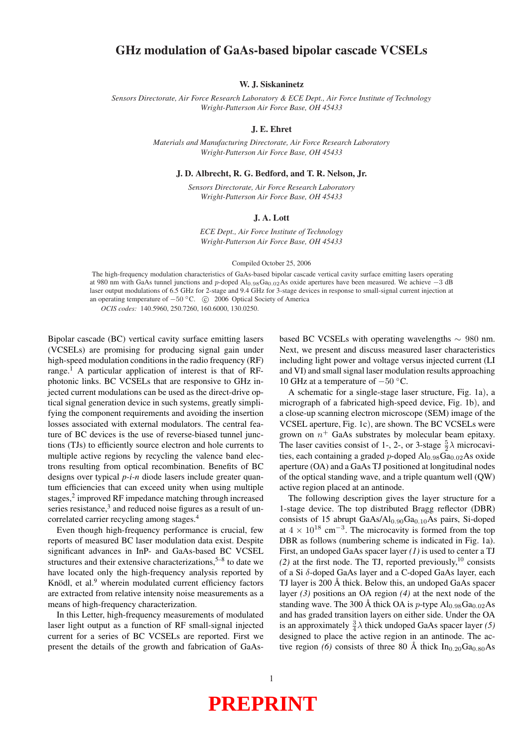### GHz modulation of GaAs-based bipolar cascade VCSELs

W. J. Siskaninetz

*Sensors Directorate, Air Force Research Laboratory & ECE Dept., Air Force Institute of Technology Wright-Patterson Air Force Base, OH 45433*

#### J. E. Ehret

*Materials and Manufacturing Directorate, Air Force Research Laboratory Wright-Patterson Air Force Base, OH 45433*

J. D. Albrecht, R. G. Bedford, and T. R. Nelson, Jr.

*Sensors Directorate, Air Force Research Laboratory Wright-Patterson Air Force Base, OH 45433*

#### J. A. Lott

*ECE Dept., Air Force Institute of Technology Wright-Patterson Air Force Base, OH 45433*

#### Compiled October 25, 2006

The high-frequency modulation characteristics of GaAs-based bipolar cascade vertical cavity surface emitting lasers operating at 980 nm with GaAs tunnel junctions and p-doped Al<sub>0.98</sub>Ga<sub>0.02</sub>As oxide apertures have been measured. We achieve −3 dB laser output modulations of 6.5 GHz for 2-stage and 9.4 GHz for 3-stage devices in response to small-signal current injection at an operating temperature of  $-50 °C$ . © 2006 Optical Society of America *OCIS codes:* 140.5960, 250.7260, 160.6000, 130.0250.

Bipolar cascade (BC) vertical cavity surface emitting lasers (VCSELs) are promising for producing signal gain under high-speed modulation conditions in the radio frequency (RF) range.<sup>1</sup> A particular application of interest is that of RFphotonic links. BC VCSELs that are responsive to GHz injected current modulations can be used as the direct-drive optical signal generation device in such systems, greatly simplifying the component requirements and avoiding the insertion losses associated with external modulators. The central feature of BC devices is the use of reverse-biased tunnel junctions (TJs) to efficiently source electron and hole currents to multiple active regions by recycling the valence band electrons resulting from optical recombination. Benefits of BC designs over typical *p-i-n* diode lasers include greater quantum efficiencies that can exceed unity when using multiple stages, $2$  improved RF impedance matching through increased series resistance,<sup>3</sup> and reduced noise figures as a result of uncorrelated carrier recycling among stages.<sup>4</sup>

Even though high-frequency performance is crucial, few reports of measured BC laser modulation data exist. Despite significant advances in InP- and GaAs-based BC VCSEL structures and their extensive characterizations,  $5-8$  to date we have located only the high-frequency analysis reported by Knödl, et al.<sup>9</sup> wherein modulated current efficiency factors are extracted from relative intensity noise measurements as a means of high-frequency characterization.

In this Letter, high-frequency measurements of modulated laser light output as a function of RF small-signal injected current for a series of BC VCSELs are reported. First we present the details of the growth and fabrication of GaAsbased BC VCSELs with operating wavelengths ∼ 980 nm. Next, we present and discuss measured laser characteristics including light power and voltage versus injected current (LI and VI) and small signal laser modulation results approaching 10 GHz at a temperature of −50 ◦C.

A schematic for a single-stage laser structure, Fig. 1a), a micrograph of a fabricated high-speed device, Fig. 1b), and a close-up scanning electron microscope (SEM) image of the VCSEL aperture, Fig. 1c), are shown. The BC VCSELs were grown on  $n^+$  GaAs substrates by molecular beam epitaxy. The laser cavities consist of 1-, 2-, or 3-stage  $\frac{5}{2}\lambda$  microcavities, each containing a graded p-doped  $\text{Al}_{0.98}\text{Ga}_{0.02}\text{As}$  oxide aperture (OA) and a GaAs TJ positioned at longitudinal nodes of the optical standing wave, and a triple quantum well (QW) active region placed at an antinode.

The following description gives the layer structure for a 1-stage device. The top distributed Bragg reflector (DBR) consists of 15 abrupt  $GaAs/Al_{0.90}Ga_{0.10}As$  pairs, Si-doped at  $4 \times 10^{18}$  cm<sup>-3</sup>. The microcavity is formed from the top DBR as follows (numbering scheme is indicated in Fig. 1a). First, an undoped GaAs spacer layer *(1)* is used to center a TJ  $(2)$  at the first node. The TJ, reported previously,<sup>10</sup> consists of a Si δ-doped GaAs layer and a C-doped GaAs layer, each TJ layer is  $200 \text{ Å}$  thick. Below this, an undoped GaAs spacer layer *(3)* positions an OA region *(4)* at the next node of the standing wave. The 300 Å thick OA is p-type  $Al_{0.98}Ga_{0.02}As$ and has graded transition layers on either side. Under the OA is an approximately  $\frac{3}{4}\lambda$  thick undoped GaAs spacer layer (5) designed to place the active region in an antinode. The active region (6) consists of three 80 Å thick  $In<sub>0.20</sub>Ga<sub>0.80</sub>As$ 

# **PREPRINT**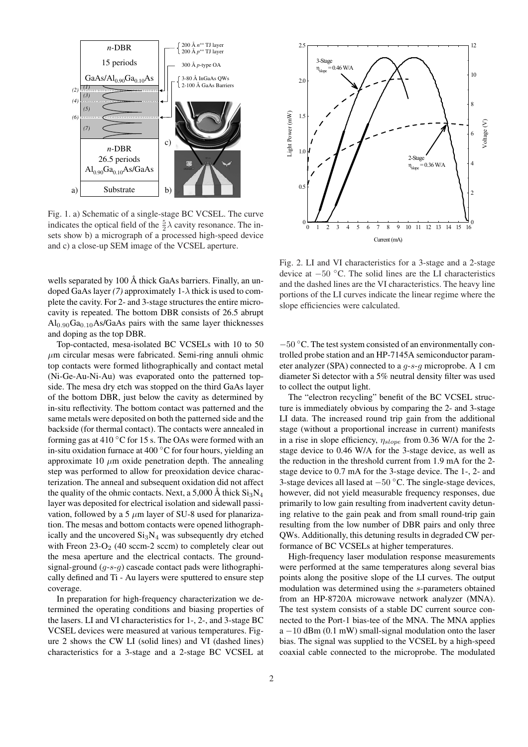

Fig. 1. a) Schematic of a single-stage BC VCSEL. The curve indicates the optical field of the  $\frac{5}{2}\lambda$  cavity resonance. The insets show b) a micrograph of a processed high-speed device and c) a close-up SEM image of the VCSEL aperture.

wells separated by 100  $\AA$  thick GaAs barriers. Finally, an undoped GaAs layer (7) approximately  $1-\lambda$  thick is used to complete the cavity. For 2- and 3-stage structures the entire microcavity is repeated. The bottom DBR consists of 26.5 abrupt  $Al<sub>0.90</sub>Ga<sub>0.10</sub>As/GaAs pairs with the same layer thicknesses$ and doping as the top DBR.

Top-contacted, mesa-isolated BC VCSELs with 10 to 50  $\mu$ m circular mesas were fabricated. Semi-ring annuli ohmic top contacts were formed lithographically and contact metal (Ni-Ge-Au-Ni-Au) was evaporated onto the patterned topside. The mesa dry etch was stopped on the third GaAs layer of the bottom DBR, just below the cavity as determined by in-situ reflectivity. The bottom contact was patterned and the same metals were deposited on both the patterned side and the backside (for thermal contact). The contacts were annealed in forming gas at 410  $\degree$ C for 15 s. The OAs were formed with an in-situ oxidation furnace at 400 ◦C for four hours, yielding an approximate 10  $\mu$ m oxide penetration depth. The annealing step was performed to allow for preoxidation device characterization. The anneal and subsequent oxidation did not affect the quality of the ohmic contacts. Next, a 5,000 Å thick  $Si_3N_4$ layer was deposited for electrical isolation and sidewall passivation, followed by a 5  $\mu$ m layer of SU-8 used for planarization. The mesas and bottom contacts were opened lithographically and the uncovered  $Si<sub>3</sub>N<sub>4</sub>$  was subsequently dry etched with Freon  $23$ -O<sub>2</sub> (40 sccm-2 sccm) to completely clear out the mesa aperture and the electrical contacts. The groundsignal-ground  $(g-s-g)$  cascade contact pads were lithographically defined and Ti - Au layers were sputtered to ensure step coverage.

In preparation for high-frequency characterization we determined the operating conditions and biasing properties of the lasers. LI and VI characteristics for 1-, 2-, and 3-stage BC VCSEL devices were measured at various temperatures. Figure 2 shows the CW LI (solid lines) and VI (dashed lines) characteristics for a 3-stage and a 2-stage BC VCSEL at



Fig. 2. LI and VI characteristics for a 3-stage and a 2-stage device at −50 ◦C. The solid lines are the LI characteristics and the dashed lines are the VI characteristics. The heavy line portions of the LI curves indicate the linear regime where the slope efficiencies were calculated.

−50 ◦C. The test system consisted of an environmentally controlled probe station and an HP-7145A semiconductor parameter analyzer (SPA) connected to a g-s-g microprobe. A 1 cm diameter Si detector with a 5% neutral density filter was used to collect the output light.

The "electron recycling" benefit of the BC VCSEL structure is immediately obvious by comparing the 2- and 3-stage LI data. The increased round trip gain from the additional stage (without a proportional increase in current) manifests in a rise in slope efficiency,  $\eta_{slope}$  from 0.36 W/A for the 2stage device to 0.46 W/A for the 3-stage device, as well as the reduction in the threshold current from 1.9 mA for the 2 stage device to 0.7 mA for the 3-stage device. The 1-, 2- and 3-stage devices all lased at  $-50$  °C. The single-stage devices, however, did not vield measurable frequency responses, due primarily to low gain resulting from inadvertent cavity detuning relative to the gain peak and from small round-trip gain resulting from the low number of DBR pairs and only three QWs. Additionally, this detuning results in degraded CW performance of BC VCSELs at higher temperatures.

High-frequency laser modulation response measurements were performed at the same temperatures along several bias points along the positive slope of the LI curves. The output modulation was determined using the s-parameters obtained from an HP-8720A microwave network analyzer (MNA). The test system consists of a stable DC current source connected to the Port-1 bias-tee of the MNA. The MNA applies  $a - 10$  dBm (0.1 mW) small-signal modulation onto the laser bias. The signal was supplied to the VCSEL by a high-speed coaxial cable connected to the microprobe. The modulated